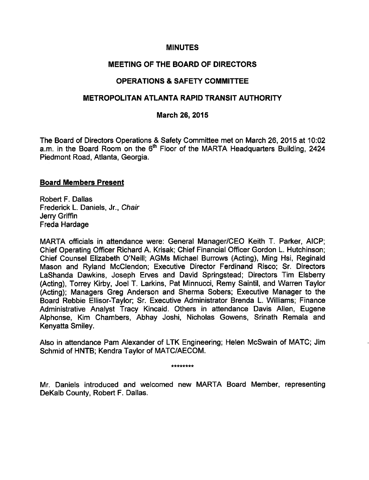# MINUTES

# MEETING OF THE BOARD OF DIRECTORS

# OPERATIONS SAFETY COMMITTEE

# METROPOLITAN ATLANTA RAPID TRANSIT AUTHORITY

## March 26, 2015

The Board of Directors Operations & Safety Committee met on March 26, 2015 at 10:02 a.m. in the Board Room on the 6<sup>th</sup> Floor of the MARTA Headquarters Building, 2424 Piedmont Road, Atlanta, Georgia.

#### Board Members Present

Robert F. Dallas Frederick L. Daniels, Jr., Chair Jerry Griffin Freda Hardage

MARTA officials in attendance were: General Manager/CEO Keith T. Parker, AICP; Chief Operating Officer Richard A. Krisak; Chief Financial Officer Gordon L. Hutchinson; Chief Counsel Elizabeth O'Neill; AGMs Michael Burrows (Acting), Ming Hsi, Reginald Mason and Ryland McClendon; Executive Director Ferdinand Risco; Sr. Directors LaShanda Dawkins, Joseph Erves and David Springstead; Directors Tim Elsberry (Acting), Torrey Kirby, Joel T. Larkins, Pat Minnucci, Remy Saintil, and Warren Taylor (Acting); Managers Greg Anderson and Sherma Sobers; Executive Manager to the Board Rebbie Ellisor-Taylor; Sr. Executive Administrator Brenda L. Williams; Finance Administrative Analyst Tracy Kincaid. Others in attendance Davis Allen, Eugene Alphonse, Kim Chambers, Abhay Joshi, Nicholas Gowens, Srinath Remala and Kenyatta Smiley.

Also in attendance Pam Alexander of LTK Engineering; Helen McSwain of MATC; Jim Schmid of HNTB; Kendra Taylor of MATC/AECOM.

\*\*\*\*\*\*\*\*

Mr. Daniels introduced and welcomed new MARTA Board Member, representing DeKalb County, Robert F. Dallas.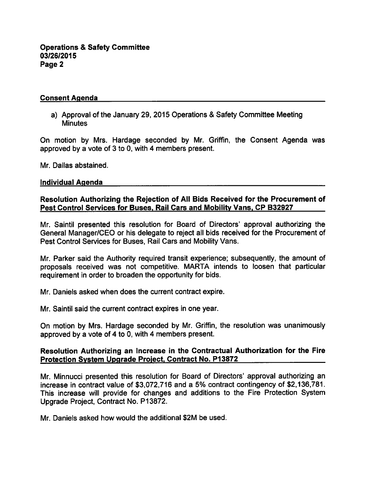# Consent Agenda

a) Approval of the January 29, 2015 Operations & Safety Committee Meeting **Minutes** 

On motion by Mrs. Hardage seconded by Mr. Griffin, the Consent Agenda was approved by a vote of  $3$  to 0, with 4 members present.

Mr. Dallas abstained.

#### Individual Agenda

#### Resolution Authorizing the Rejection of All Bids Received for the Procurement of Pest Control Services for Buses. Rail Cars and Mobility Vans. CP B32927

Mr. Saintil presented this resolution for Board of Directors' approval authorizing the General Manager/CEO or his delegate to reject all bids received for the Procurement of Pest Control Services for Buses, Rail Cars and Mobility Vans.

Mr. Parker said the Authority required transit experience; subsequently, the amount of proposals received was not competitive. MARTA intends to loosen that particular requirement in order to broaden the opportunity for bids.

Mr. Daniels asked when does the current contract expire.

Mr. Saintil said the current contract expires in one year.

On motion by Mrs. Hardage seconded by Mr. Griffin, the resolution was unanimously approved by a vote of 4 to 0, with 4 members present.

#### Resolution Authorizing an Increase in the Contractual Authorization for the Fire Protection System Upgrade Project. Contract No. P13872

Mr. Minnucci presented this resolution for Board of Directors' approval authorizing an increase in contract value of \$3,072,716 and a 5% contract contingency of \$2,136,781. This increase will provide for changes and additions to the Fire Protection System Upgrade Project, Contract No. P13872.

Mr. Daniels asked how would the additional \$2M be used.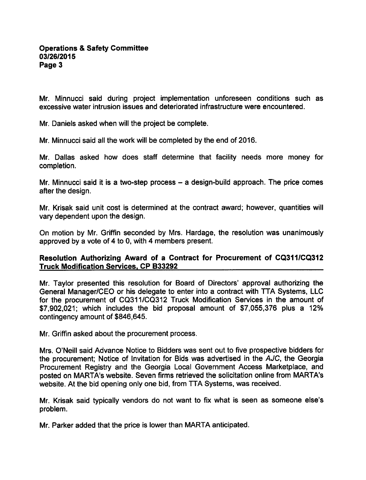Mr. Minnucci said during project implementation unforeseen conditions such as excessive water intrusion issues and deteriorated infrastructure were encountered.

Mr. Daniels asked when will the project be complete.

Mr. Minnucci said all the work will be completed by the end of 2016.

Mr. Dallas asked how does staff determine that facility needs more money for completion.

Mr. Minnucci said it is a two-step process  $-$  a design-build approach. The price comes after the design.

Mr. Krisak said unit cost is determined at the contract award; however, quantities will vary dependent upon the design.

On motion by Mr. Griffin seconded by Mrs. Hardage, the resolution was unanimously approved by a vote of 4 to 0, with 4 members present.

# Resolution Authorizing Award of a Contract for Procurement of CQ311/CQ312 Truck Modification Services. CP B33292

Mr. Taylor presented this resolution for Board of Directors' approval authorizing the General Manager/CEO or his delegate to enter into a contract with TTA Systems, LLC for the procurement of CQ311/CQ312 Truck Modification Services in the amount of  $$7.902.021$ ; which includes the bid proposal amount of  $$7.055.376$  plus a 12% contingency amount of \$846,645.

Mr. Griffin asked about the procurement process.

Mrs. O'Neill said Advance Notice to Bidders was sent out to five prospective bidders for the procurement; Notice of Invitation for Bids was advertised in the AJC, the Georgia Procurement Registry and the Georgia Local Government Access Marketplace, and posted on MARTA's website. Seven firms retrieved the solicitation online from MARTA's website. At the bid opening only one bid, from TTA Systems, was received.

Mr. Krisak said typically vendors do not want to fix what is seen as someone else's problem.

Mr. Parker added that the price is lower than MARTA anticipated.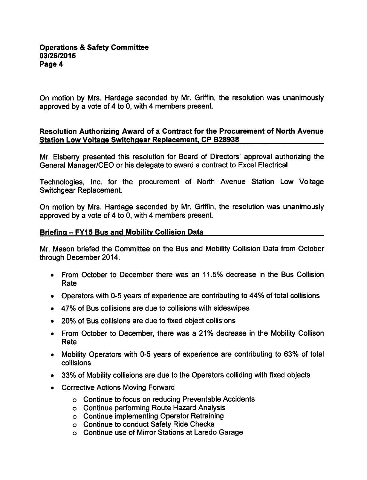On motion by Mrs. Hardage seconded by Mr. Griffin, the resolution was unanimously approved by a vote of 4 to 0, with 4 members present.

## Resolution Authorizing Award of a Contract for the Procurement of North Avenue Station Low Voltage Switchgear Replacement, CP B28938

Mr. Elsberry presented this resolution for Board of Directors' approval authorizing the General Manager/CEO or his delegate to award a contract to Excel Electrical

Technologies, Inc. for the procurement of North Avenue Station Low Voltage Switchgear Replacement.

On motion by Mrs. Hardage seconded by Mr. Griffin, the resolution was unanimously approved by a vote of 4 to 0, with 4 members present.

# Briefing - FY15 Bus and Mobility Collision Data

Mr. Mason briefed the Committee on the Bus and Mobility Collision Data from October through December 2014.

- From October to December there was an 11.5% decrease in the Bus Collision Rate
- Operators with 0-5 years of experience are contributing to 44% of total collisions
- 47% of Bus collisions are due to collisions with sideswipes
- 20% of Bus collisions are due to fixed object collisions
- From October to December, there was a 21% decrease in the Mobility Collison Rate
- Mobility Operators with 0-5 years of experience are contributing to 63% of total collisions
- 33% of Mobility collisions are due to the Operators colliding with fixed objects
- Corrective Actions Moving Forward
	- Continue to focus on reducing Preventable Accidents
	- Continue performing Route Hazard Analysis
	- Continue implementing Operator Retraining
	- Continue to conduct Safety Ride Checks
	- Continue use of Mirror Stations at Laredo Garage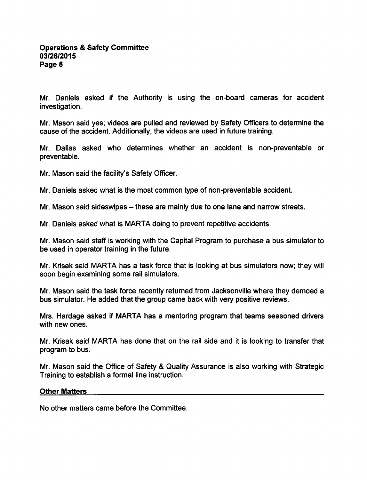Mr. Daniels asked if the Authority is using the on-board cameras for accident investigation.

Mr. Mason said yes; videos are pulled and reviewed by Safety Officers to determine the cause of the accident. Additionally, the videos are used in future training.

Mr. Dallas asked who determines whether an accident is non-preventable or preventable.

Mr. Mason said the facility's Safety Officer.

Mr. Daniels asked what is the most common type of non-preventable accident.

Mr. Mason said sideswipes – these are mainly due to one lane and narrow streets.

Mr. Daniels asked what is MARTA doing to prevent repetitive accidents.

Mr. Mason said staff is working with the Capital Program to purchase a bus simulator to be used in operator training in the future.

Mr. Krisak said MARTA has a task force that is looking at bus simulators now; they will soon begin examining some rail simulators.

Mr. Mason said the task force recently returned from Jacksonville where they demoed a bus simulator. He added that the group came back with very positive reviews.

Mrs. Hardage asked if MARTA has a mentoring program that teams seasoned drivers with new ones.

Mr. Krisak said MARTA has done that on the rail side and it is looking to transfer that program to bus.

Mr. Mason said the Office of Safety & Quality Assurance is also working with Strategic Training to establish a formal line instruction.

#### Other Matters

No other matters came before the Committee.